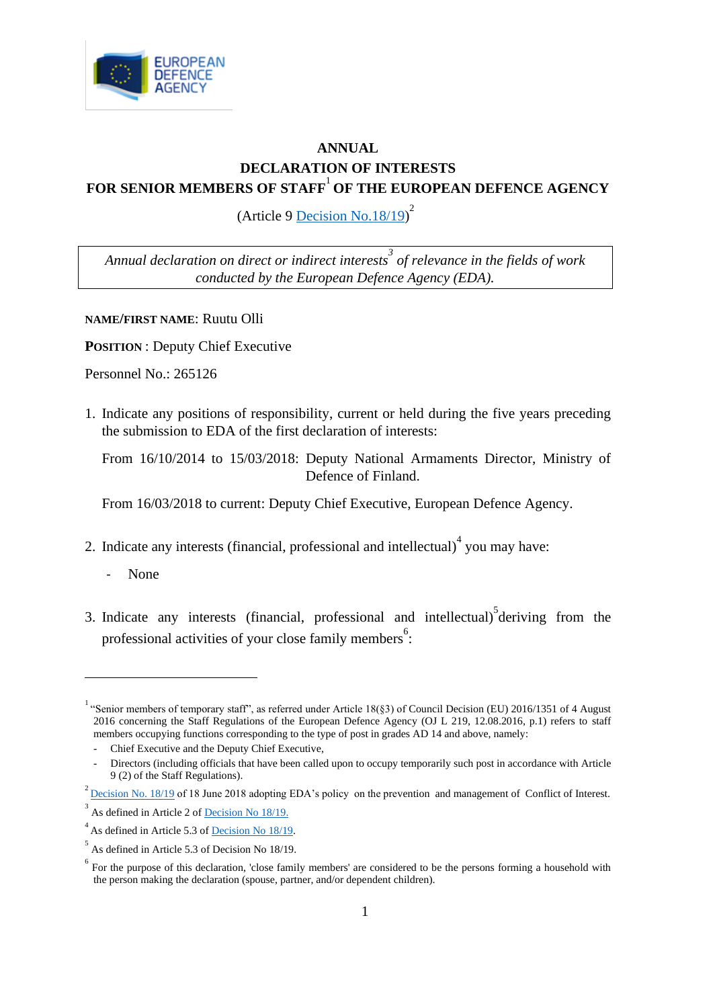

## **ANNUAL DECLARATION OF INTERESTS FOR SENIOR MEMBERS OF STAFF**<sup>1</sup> **OF THE EUROPEAN DEFENCE AGENCY**

(Article 9  $\overline{\text{Decision No.18/19}}^2$ 

*Annual declaration on direct or indirect interests<sup>3</sup> of relevance in the fields of work conducted by the European Defence Agency (EDA).*

**NAME/FIRST NAME**: Ruutu Olli

**POSITION** : Deputy Chief Executive

Personnel No.: 265126

1. Indicate any positions of responsibility, current or held during the five years preceding the submission to EDA of the first declaration of interests:

From 16/10/2014 to 15/03/2018: Deputy National Armaments Director, Ministry of Defence of Finland.

From 16/03/2018 to current: Deputy Chief Executive, European Defence Agency.

- 2. Indicate any interests (financial, professional and intellectual) $4$  you may have:
	- None
- 3. Indicate any interests (financial, professional and intellectual) $\delta$  deriving from the professional activities of your close family members<sup>6</sup>:

<sup>&</sup>lt;sup>1</sup> "Senior members of temporary staff", as referred under Article 18(§3) of Council Decision (EU) 2016/1351 of 4 August 2016 concerning the Staff Regulations of the European Defence Agency (OJ L 219, 12.08.2016, p.1) refers to staff members occupying functions corresponding to the type of post in grades AD 14 and above, namely:

<sup>-</sup> Chief Executive and the Deputy Chief Executive,

<sup>-</sup> Directors (including officials that have been called upon to occupy temporarily such post in accordance with Article 9 (2) of the Staff Regulations).

 $^{2}$  <u>[Decision No. 18/19](https://acp4eu035hotmail.sharepoint.com/:b:/s/ComSiteLEGDP/Ecu_Y4-YvVBBrje0LJOCN_8BbqW8s-Phajnz3Mb38eXZ7A?e=LY7kqv)</u> of 18 June 2018 adopting EDA's policy on the prevention and management of Conflict of Interest.

 $3<sup>3</sup>$  As defined in Article 2 of <u>Decision No 18/19.</u>

 $4<sup>4</sup>$  As defined in Article 5.3 of <u>Decision No 18/19</u>.

 $<sup>5</sup>$  As defined in Article 5.3 of Decision No 18/19.</sup>

 $6\degree$  For the purpose of this declaration, 'close family members' are considered to be the persons forming a household with the person making the declaration (spouse, partner, and/or dependent children).